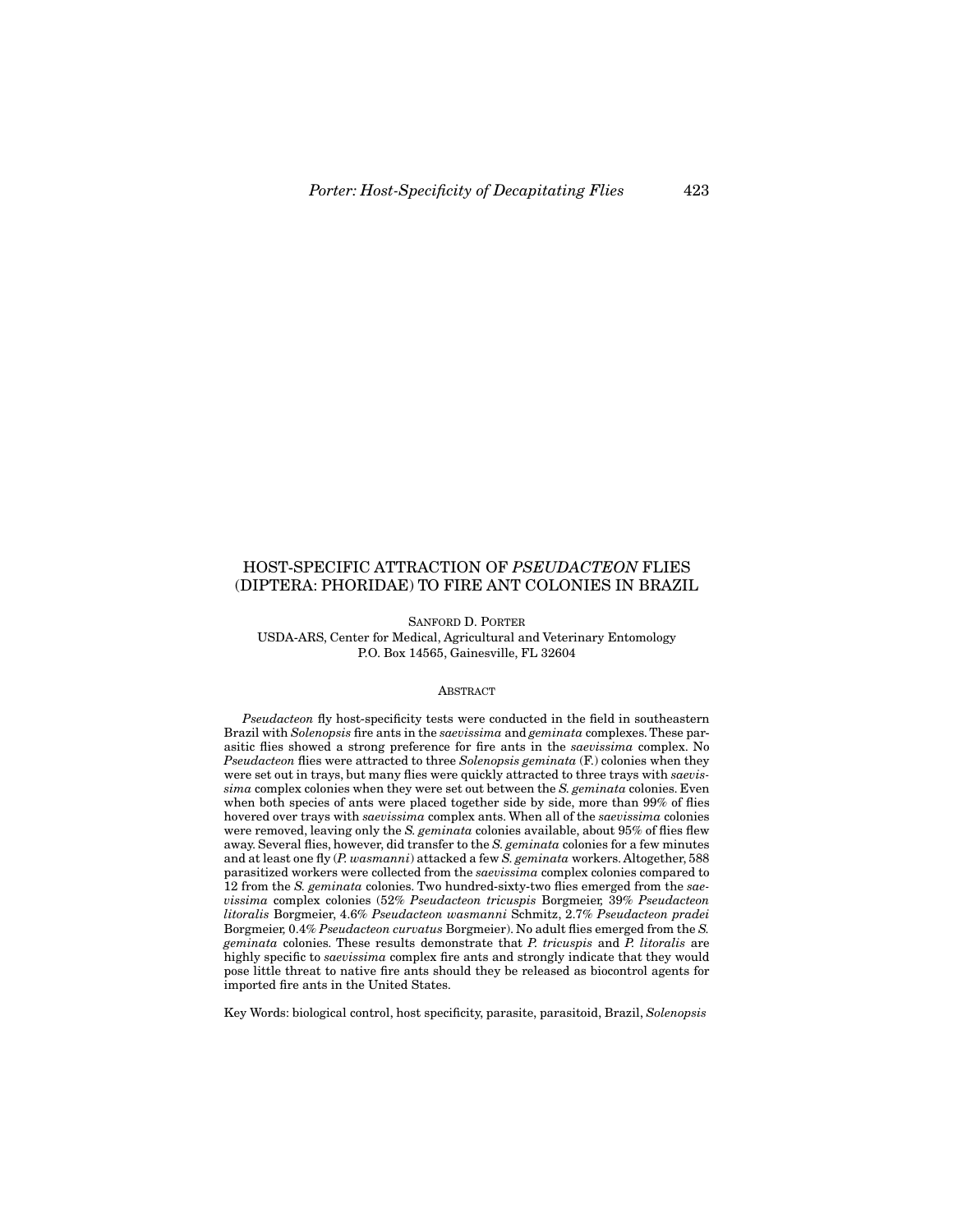# HOST-SPECIFIC ATTRACTION OF *PSEUDACTEON* FLIES (DIPTERA: PHORIDAE) TO FIRE ANT COLONIES IN BRAZIL

SANFORD D. PORTER USDA-ARS, Center for Medical, Agricultural and Veterinary Entomology P.O. Box 14565, Gainesville, FL 32604

# ABSTRACT

*Pseudacteon* fly host-specificity tests were conducted in the field in southeastern Brazil with *Solenopsis* fire ants in the *saevissima* and *geminata* complexes. These parasitic flies showed a strong preference for fire ants in the *saevissima* complex. No *Pseudacteon* flies were attracted to three *Solenopsis geminata* (F.) colonies when they were set out in trays, but many flies were quickly attracted to three trays with *saevissima* complex colonies when they were set out between the *S. geminata* colonies. Even when both species of ants were placed together side by side, more than 99% of flies hovered over trays with *saevissima* complex ants. When all of the *saevissima* colonies were removed, leaving only the *S. geminata* colonies available, about 95% of flies flew away. Several flies, however, did transfer to the *S. geminata* colonies for a few minutes and at least one fly (*P. wasmanni*) attacked a few *S. geminata* workers. Altogether, 588 parasitized workers were collected from the *saevissima* complex colonies compared to 12 from the *S. geminata* colonies. Two hundred-sixty-two flies emerged from the *saevissima* complex colonies (52% *Pseudacteon tricuspis* Borgmeier*,* 39% *Pseudacteon litoralis* Borgmeier, 4.6% *Pseudacteon wasmanni* Schmitz, 2.7% *Pseudacteon pradei* Borgmeier*,* 0.4% *Pseudacteon curvatus* Borgmeier). No adult flies emerged from the *S. geminata* colonies. These results demonstrate that *P. tricuspis* and *P. litoralis* are highly specific to *saevissima* complex fire ants and strongly indicate that they would pose little threat to native fire ants should they be released as biocontrol agents for imported fire ants in the United States.

Key Words: biological control, host specificity, parasite, parasitoid, Brazil, *Solenopsis*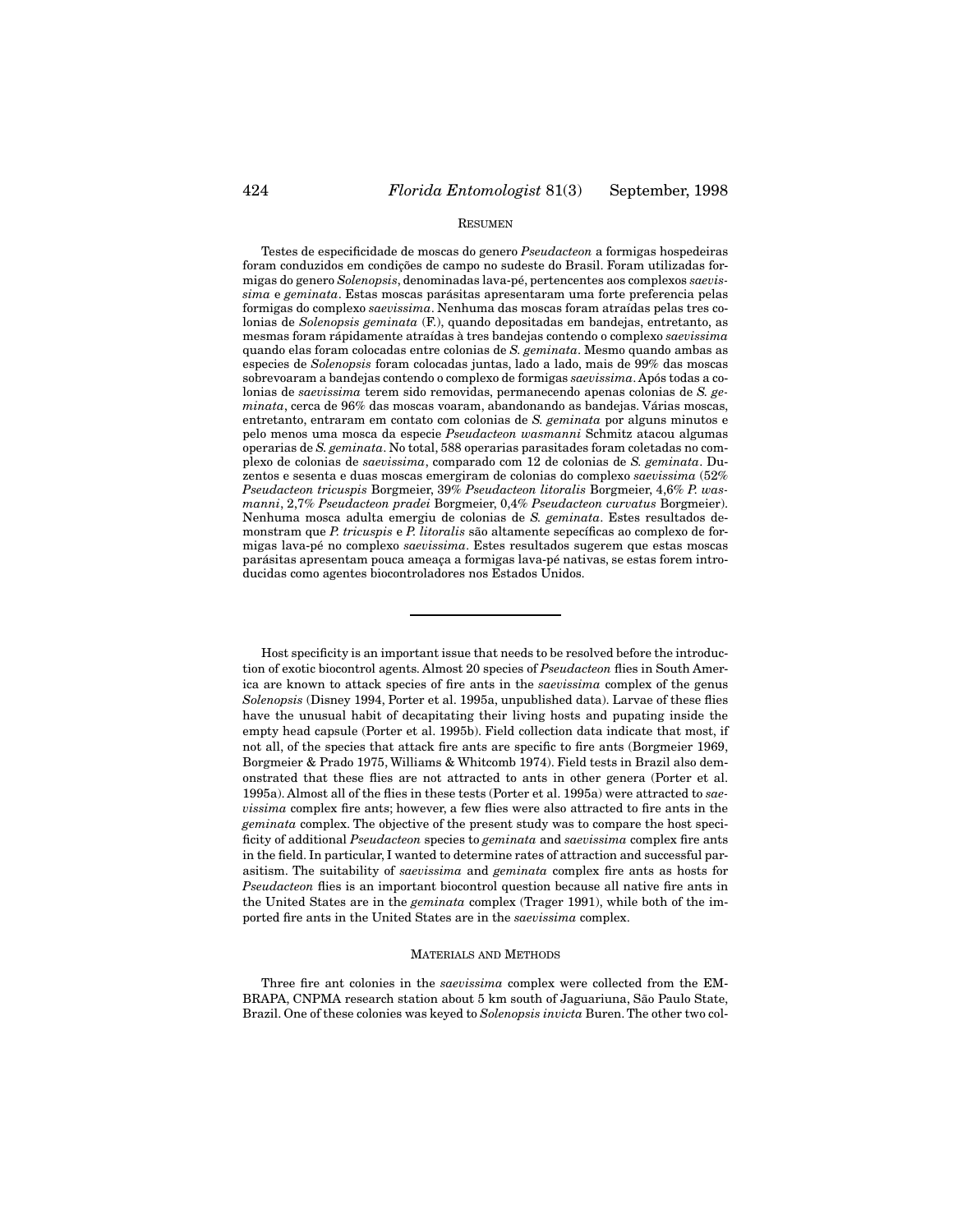### RESUMEN

Testes de especificidade de moscas do genero *Pseudacteon* a formigas hospedeiras foram conduzidos em condições de campo no sudeste do Brasil. Foram utilizadas formigas do genero *Solenopsis*, denominadas lava-pé, pertencentes aos complexos *saevissima* e *geminata*. Estas moscas parásitas apresentaram uma forte preferencia pelas formigas do complexo *saevissima*. Nenhuma das moscas foram atraídas pelas tres colonias de *Solenopsis geminata* (F.), quando depositadas em bandejas, entretanto, as mesmas foram rápidamente atraídas à tres bandejas contendo o complexo *saevissima* quando elas foram colocadas entre colonias de *S. geminata*. Mesmo quando ambas as especies de *Solenopsis* foram colocadas juntas, lado a lado, mais de 99% das moscas sobrevoaram a bandejas contendo o complexo de formigas *saevissima*. Após todas a colonias de *saevissima* terem sido removidas, permanecendo apenas colonias de *S. geminata*, cerca de 96% das moscas voaram, abandonando as bandejas. Várias moscas, entretanto, entraram em contato com colonias de *S. geminata* por alguns minutos e pelo menos uma mosca da especie *Pseudacteon wasmanni* Schmitz atacou algumas operarias de *S. geminata*. No total, 588 operarias parasitades foram coletadas no complexo de colonias de *saevissima*, comparado com 12 de colonias de *S. geminata*. Duzentos e sesenta e duas moscas emergiram de colonias do complexo *saevissima* (52% *Pseudacteon tricuspis* Borgmeier, 39% *Pseudacteon litoralis* Borgmeier, 4,6% *P. wasmanni*, 2,7% *Pseudacteon pradei* Borgmeier, 0,4% *Pseudacteon curvatus* Borgmeier). Nenhuma mosca adulta emergiu de colonias de *S. geminata*. Estes resultados demonstram que *P. tricuspis* e *P. litoralis* são altamente sepecíficas ao complexo de formigas lava-pé no complexo *saevissima*. Estes resultados sugerem que estas moscas parásitas apresentam pouca ameaça a formigas lava-pé nativas, se estas forem introducidas como agentes biocontroladores nos Estados Unidos.

Host specificity is an important issue that needs to be resolved before the introduction of exotic biocontrol agents. Almost 20 species of *Pseudacteon* flies in South America are known to attack species of fire ants in the *saevissima* complex of the genus *Solenopsis* (Disney 1994, Porter et al. 1995a, unpublished data). Larvae of these flies have the unusual habit of decapitating their living hosts and pupating inside the empty head capsule (Porter et al. 1995b). Field collection data indicate that most, if not all, of the species that attack fire ants are specific to fire ants (Borgmeier 1969, Borgmeier & Prado 1975, Williams & Whitcomb 1974). Field tests in Brazil also demonstrated that these flies are not attracted to ants in other genera (Porter et al. 1995a). Almost all of the flies in these tests (Porter et al. 1995a) were attracted to *saevissima* complex fire ants; however, a few flies were also attracted to fire ants in the *geminata* complex. The objective of the present study was to compare the host specificity of additional *Pseudacteon* species to *geminata* and *saevissima* complex fire ants in the field. In particular, I wanted to determine rates of attraction and successful parasitism. The suitability of *saevissima* and *geminata* complex fire ants as hosts for *Pseudacteon* flies is an important biocontrol question because all native fire ants in the United States are in the *geminata* complex (Trager 1991), while both of the imported fire ants in the United States are in the *saevissima* complex.

### MATERIALS AND METHODS

Three fire ant colonies in the *saevissima* complex were collected from the EM-BRAPA, CNPMA research station about 5 km south of Jaguariuna, São Paulo State, Brazil. One of these colonies was keyed to *Solenopsis invicta* Buren. The other two col-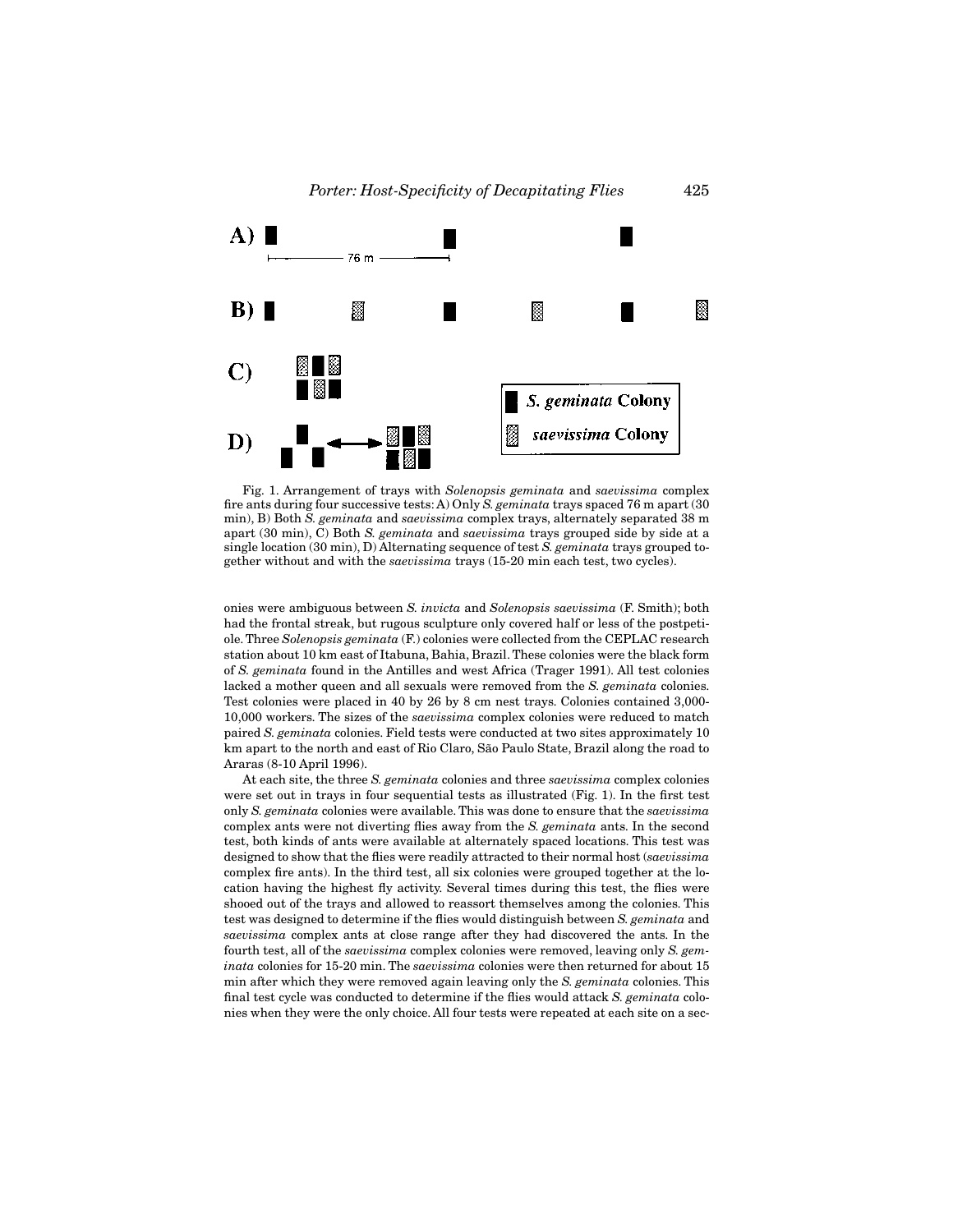

Fig. 1. Arrangement of trays with *Solenopsis geminata* and *saevissima* complex fire ants during four successive tests: A) Only *S. geminata* trays spaced 76 m apart (30 min), B) Both *S. geminata* and *saevissima* complex trays, alternately separated 38 m apart (30 min), C) Both *S. geminata* and *saevissima* trays grouped side by side at a single location (30 min), D) Alternating sequence of test *S. geminata* trays grouped together without and with the *saevissima* trays (15-20 min each test, two cycles).

onies were ambiguous between *S. invicta* and *Solenopsis saevissima* (F. Smith); both had the frontal streak, but rugous sculpture only covered half or less of the postpetiole. Three *Solenopsis geminata* (F.) colonies were collected from the CEPLAC research station about 10 km east of Itabuna, Bahia, Brazil. These colonies were the black form of *S. geminata* found in the Antilles and west Africa (Trager 1991). All test colonies lacked a mother queen and all sexuals were removed from the *S. geminata* colonies. Test colonies were placed in 40 by 26 by 8 cm nest trays. Colonies contained 3,000- 10,000 workers. The sizes of the *saevissima* complex colonies were reduced to match paired *S. geminata* colonies. Field tests were conducted at two sites approximately 10 km apart to the north and east of Rio Claro, São Paulo State, Brazil along the road to Araras (8-10 April 1996).

At each site, the three *S. geminata* colonies and three *saevissima* complex colonies were set out in trays in four sequential tests as illustrated (Fig. 1). In the first test only *S. geminata* colonies were available. This was done to ensure that the *saevissima* complex ants were not diverting flies away from the *S. geminata* ants. In the second test, both kinds of ants were available at alternately spaced locations. This test was designed to show that the flies were readily attracted to their normal host (*saevissima* complex fire ants). In the third test, all six colonies were grouped together at the location having the highest fly activity. Several times during this test, the flies were shooed out of the trays and allowed to reassort themselves among the colonies. This test was designed to determine if the flies would distinguish between *S. geminata* and *saevissima* complex ants at close range after they had discovered the ants. In the fourth test, all of the *saevissima* complex colonies were removed, leaving only *S. geminata* colonies for 15-20 min. The *saevissima* colonies were then returned for about 15 min after which they were removed again leaving only the *S. geminata* colonies. This final test cycle was conducted to determine if the flies would attack *S. geminata* colonies when they were the only choice. All four tests were repeated at each site on a sec-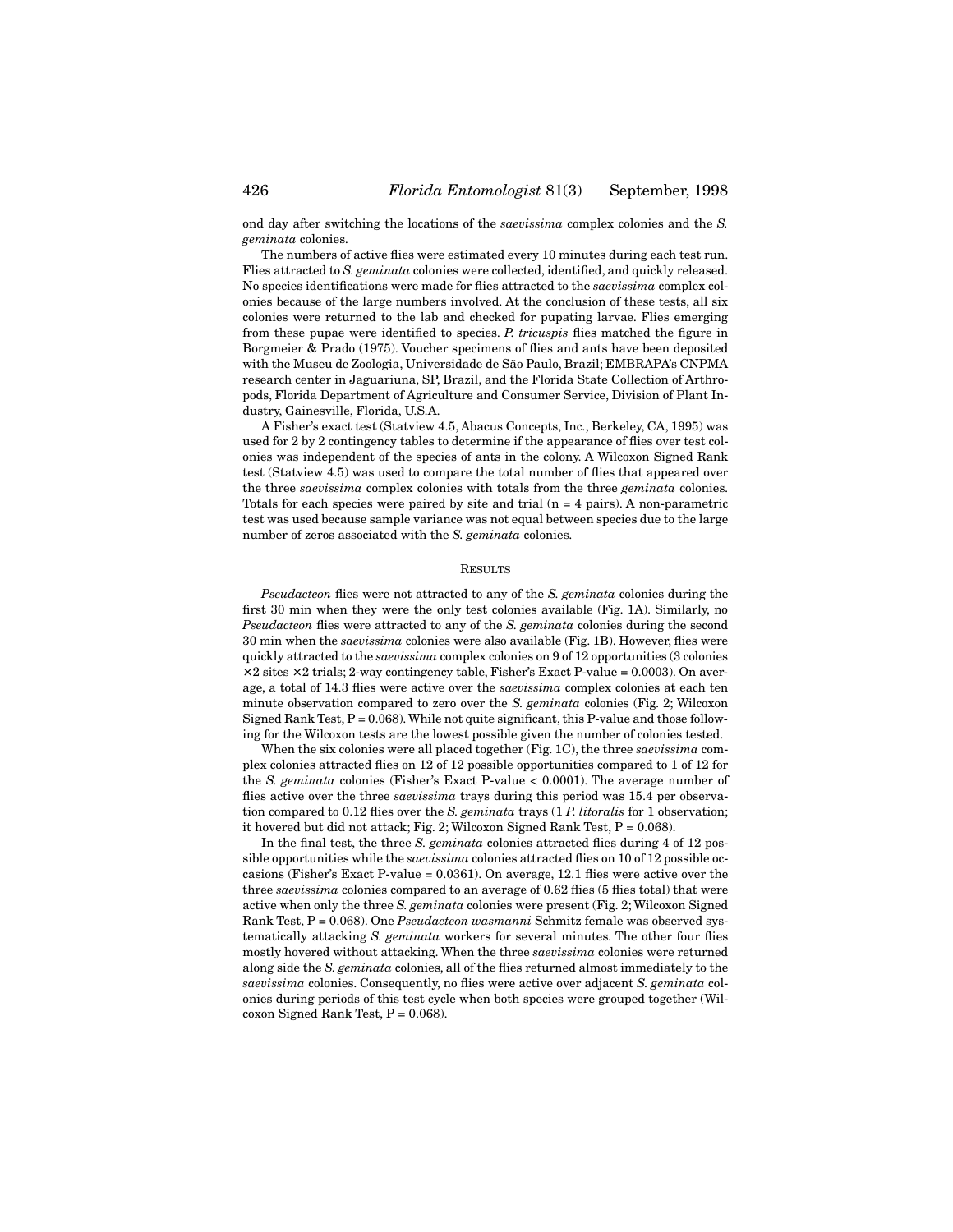ond day after switching the locations of the *saevissima* complex colonies and the *S. geminata* colonies.

The numbers of active flies were estimated every 10 minutes during each test run. Flies attracted to *S. geminata* colonies were collected, identified, and quickly released. No species identifications were made for flies attracted to the *saevissima* complex colonies because of the large numbers involved. At the conclusion of these tests, all six colonies were returned to the lab and checked for pupating larvae. Flies emerging from these pupae were identified to species. *P. tricuspis* flies matched the figure in Borgmeier & Prado (1975). Voucher specimens of flies and ants have been deposited with the Museu de Zoologia, Universidade de São Paulo, Brazil; EMBRAPA's CNPMA research center in Jaguariuna, SP, Brazil, and the Florida State Collection of Arthropods, Florida Department of Agriculture and Consumer Service, Division of Plant Industry, Gainesville, Florida, U.S.A.

A Fisher's exact test (Statview 4.5, Abacus Concepts, Inc., Berkeley, CA, 1995) was used for 2 by 2 contingency tables to determine if the appearance of flies over test colonies was independent of the species of ants in the colony. A Wilcoxon Signed Rank test (Statview 4.5) was used to compare the total number of flies that appeared over the three *saevissima* complex colonies with totals from the three *geminata* colonies. Totals for each species were paired by site and trial  $(n = 4 \text{ pairs})$ . A non-parametric test was used because sample variance was not equal between species due to the large number of zeros associated with the *S. geminata* colonies.

#### **RESULTS**

*Pseudacteon* flies were not attracted to any of the *S. geminata* colonies during the first 30 min when they were the only test colonies available (Fig. 1A). Similarly, no *Pseudacteon* flies were attracted to any of the *S. geminata* colonies during the second 30 min when the *saevissima* colonies were also available (Fig. 1B). However, flies were quickly attracted to the *saevissima* complex colonies on 9 of 12 opportunities (3 colonies  $\times$  2 sites  $\times$  2 trials; 2-way contingency table, Fisher's Exact P-value = 0.0003). On average, a total of 14.3 flies were active over the *saevissima* complex colonies at each ten minute observation compared to zero over the *S. geminata* colonies (Fig. 2; Wilcoxon Signed Rank Test,  $P = 0.068$ ). While not quite significant, this P-value and those following for the Wilcoxon tests are the lowest possible given the number of colonies tested.

When the six colonies were all placed together (Fig. 1C), the three *saevissima* complex colonies attracted flies on 12 of 12 possible opportunities compared to 1 of 12 for the *S. geminata* colonies (Fisher's Exact P-value < 0.0001). The average number of flies active over the three *saevissima* trays during this period was 15.4 per observation compared to 0.12 flies over the *S. geminata* trays (1 *P. litoralis* for 1 observation; it hovered but did not attack; Fig. 2; Wilcoxon Signed Rank Test,  $P = 0.068$ ).

In the final test, the three *S. geminata* colonies attracted flies during 4 of 12 possible opportunities while the *saevissima* colonies attracted flies on 10 of 12 possible occasions (Fisher's Exact P-value = 0.0361). On average, 12.1 flies were active over the three *saevissima* colonies compared to an average of 0.62 flies (5 flies total) that were active when only the three *S. geminata* colonies were present (Fig. 2; Wilcoxon Signed Rank Test, P = 0.068). One *Pseudacteon wasmanni* Schmitz female was observed systematically attacking *S. geminata* workers for several minutes. The other four flies mostly hovered without attacking. When the three *saevissima* colonies were returned along side the *S. geminata* colonies, all of the flies returned almost immediately to the *saevissima* colonies. Consequently, no flies were active over adjacent *S. geminata* colonies during periods of this test cycle when both species were grouped together (Wilcoxon Signed Rank Test,  $P = 0.068$ .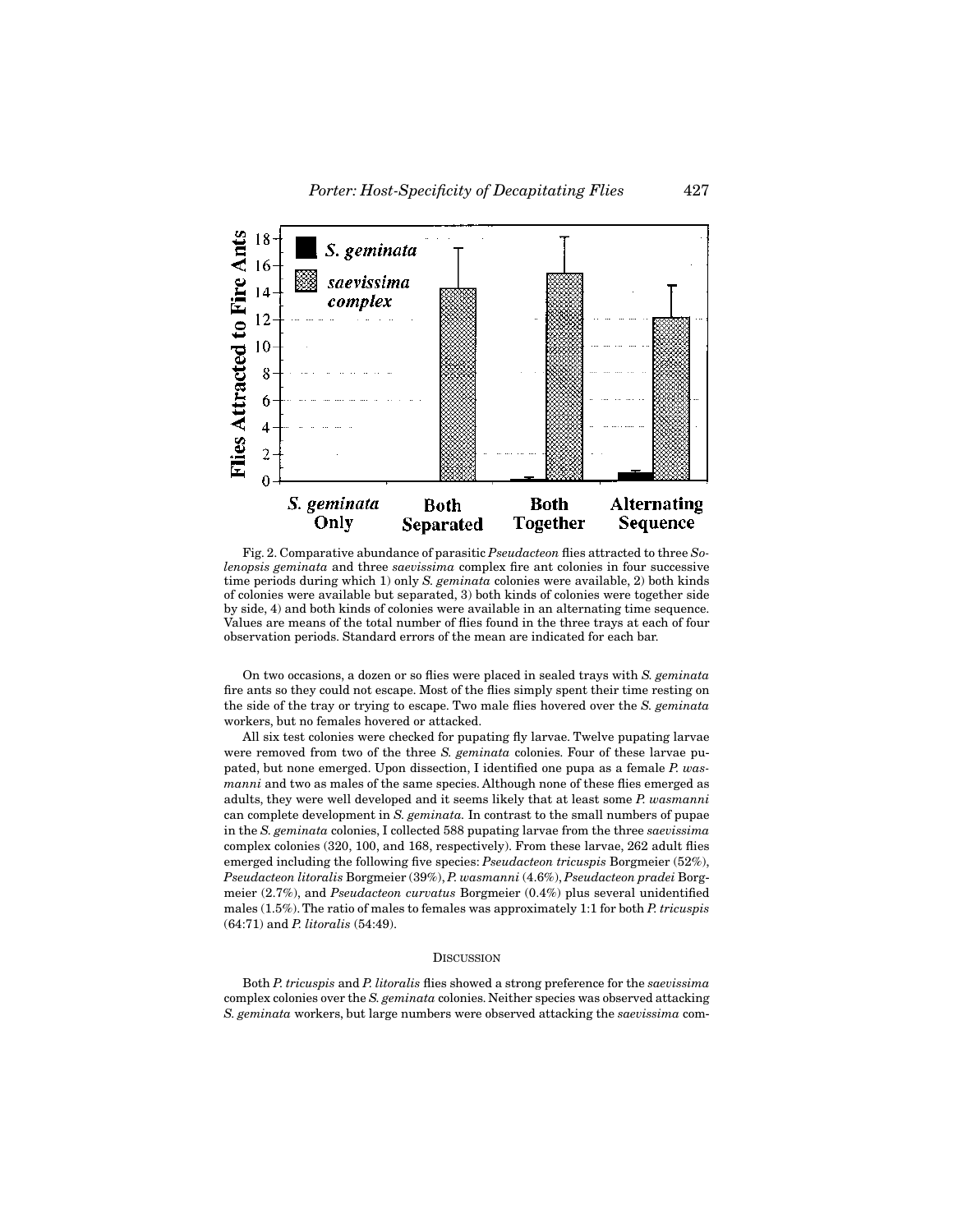

Fig. 2. Comparative abundance of parasitic *Pseudacteon* flies attracted to three *Solenopsis geminata* and three *saevissima* complex fire ant colonies in four successive time periods during which 1) only *S. geminata* colonies were available, 2) both kinds of colonies were available but separated, 3) both kinds of colonies were together side by side, 4) and both kinds of colonies were available in an alternating time sequence. Values are means of the total number of flies found in the three trays at each of four observation periods. Standard errors of the mean are indicated for each bar.

On two occasions, a dozen or so flies were placed in sealed trays with *S. geminata* fire ants so they could not escape. Most of the flies simply spent their time resting on the side of the tray or trying to escape. Two male flies hovered over the *S. geminata* workers, but no females hovered or attacked.

All six test colonies were checked for pupating fly larvae. Twelve pupating larvae were removed from two of the three *S. geminata* colonies. Four of these larvae pupated, but none emerged. Upon dissection, I identified one pupa as a female *P. wasmanni* and two as males of the same species. Although none of these flies emerged as adults, they were well developed and it seems likely that at least some *P. wasmanni* can complete development in *S. geminata.* In contrast to the small numbers of pupae in the *S. geminata* colonies, I collected 588 pupating larvae from the three *saevissima* complex colonies (320, 100, and 168, respectively). From these larvae, 262 adult flies emerged including the following five species: *Pseudacteon tricuspis* Borgmeier (52%), *Pseudacteon litoralis* Borgmeier (39%), *P. wasmanni* (4.6%), *Pseudacteon pradei* Borgmeier (2.7%), and *Pseudacteon curvatus* Borgmeier (0.4%) plus several unidentified males (1.5%). The ratio of males to females was approximately 1:1 for both *P. tricuspis* (64:71) and *P. litoralis* (54:49).

# **DISCUSSION**

Both *P. tricuspis* and *P. litoralis* flies showed a strong preference for the *saevissima* complex colonies over the *S. geminata* colonies. Neither species was observed attacking *S. geminata* workers, but large numbers were observed attacking the *saevissima* com-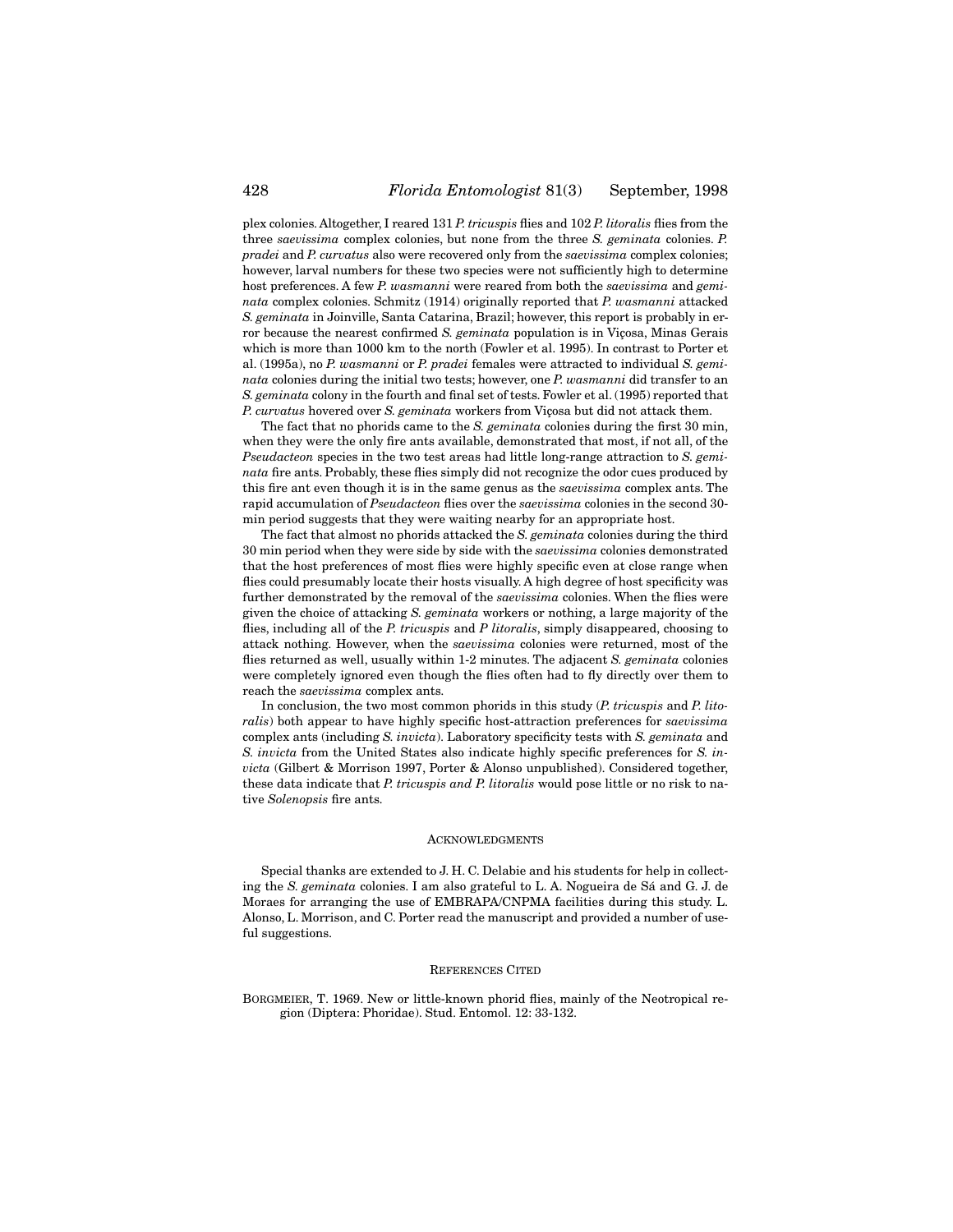plex colonies. Altogether, I reared 131 *P. tricuspis* flies and 102 *P. litoralis* flies from the three *saevissima* complex colonies, but none from the three *S. geminata* colonies. *P. pradei* and *P. curvatus* also were recovered only from the *saevissima* complex colonies; however, larval numbers for these two species were not sufficiently high to determine host preferences. A few *P. wasmanni* were reared from both the *saevissima* and *geminata* complex colonies. Schmitz (1914) originally reported that *P. wasmanni* attacked *S. geminata* in Joinville, Santa Catarina, Brazil; however, this report is probably in error because the nearest confirmed *S. geminata* population is in Viçosa, Minas Gerais which is more than 1000 km to the north (Fowler et al. 1995). In contrast to Porter et al. (1995a), no *P. wasmanni* or *P. pradei* females were attracted to individual *S. geminata* colonies during the initial two tests; however, one *P. wasmanni* did transfer to an *S. geminata* colony in the fourth and final set of tests. Fowler et al. (1995) reported that *P. curvatus* hovered over *S. geminata* workers from Viçosa but did not attack them.

The fact that no phorids came to the *S. geminata* colonies during the first 30 min, when they were the only fire ants available, demonstrated that most, if not all, of the *Pseudacteon* species in the two test areas had little long-range attraction to *S. geminata* fire ants. Probably, these flies simply did not recognize the odor cues produced by this fire ant even though it is in the same genus as the *saevissima* complex ants. The rapid accumulation of *Pseudacteon* flies over the *saevissima* colonies in the second 30 min period suggests that they were waiting nearby for an appropriate host.

The fact that almost no phorids attacked the *S. geminata* colonies during the third 30 min period when they were side by side with the *saevissima* colonies demonstrated that the host preferences of most flies were highly specific even at close range when flies could presumably locate their hosts visually. A high degree of host specificity was further demonstrated by the removal of the *saevissima* colonies. When the flies were given the choice of attacking *S. geminata* workers or nothing, a large majority of the flies, including all of the *P. tricuspis* and *P litoralis*, simply disappeared, choosing to attack nothing. However, when the *saevissima* colonies were returned, most of the flies returned as well, usually within 1-2 minutes. The adjacent *S. geminata* colonies were completely ignored even though the flies often had to fly directly over them to reach the *saevissima* complex ants.

In conclusion, the two most common phorids in this study (*P. tricuspis* and *P. litoralis*) both appear to have highly specific host-attraction preferences for *saevissima* complex ants (including *S. invicta*). Laboratory specificity tests with *S. geminata* and *S. invicta* from the United States also indicate highly specific preferences for *S. invicta* (Gilbert & Morrison 1997, Porter & Alonso unpublished). Considered together, these data indicate that *P. tricuspis and P. litoralis* would pose little or no risk to native *Solenopsis* fire ants.

#### ACKNOWLEDGMENTS

Special thanks are extended to J. H. C. Delabie and his students for help in collecting the *S. geminata* colonies. I am also grateful to L. A. Nogueira de Sá and G. J. de Moraes for arranging the use of EMBRAPA/CNPMA facilities during this study. L. Alonso, L. Morrison, and C. Porter read the manuscript and provided a number of useful suggestions.

## REFERENCES CITED

BORGMEIER, T. 1969. New or little-known phorid flies, mainly of the Neotropical region (Diptera: Phoridae). Stud. Entomol. 12: 33-132.